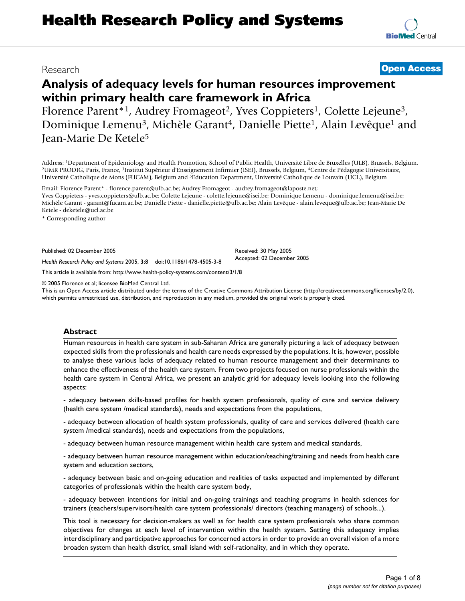# **Analysis of adequacy levels for human resources improvement within primary health care framework in Africa**

Florence Parent<sup>\*1</sup>, Audrey Fromageot<sup>2</sup>, Yves Coppieters<sup>1</sup>, Colette Lejeune<sup>3</sup>, Dominique Lemenu<sup>3</sup>, Michèle Garant<sup>4</sup>, Danielle Piette<sup>1</sup>, Alain Levêque<sup>1</sup> and Jean-Marie De Ketele5

Address: <sup>1</sup>Department of Epidemiology and Health Promotion, School of Public Health, Université Libre de Bruxelles (ULB), Brussels, Belgium, <sup>2</sup>UMR PRODIG, Paris, France, <sup>3</sup>Institut Supérieur d'Enseignement Infirmier (IS Université Catholique de Mons (FUCAM), Belgium and 5Education Department, Université Catholique de Louvain (UCL), Belgium

Email: Florence Parent\* - florence.parent@ulb.ac.be; Audrey Fromageot - audrey.fromageot@laposte.net; Yves Coppieters - yves.coppieters@ulb.ac.be; Colette Lejeune - colette.lejeune@isei.be; Dominique Lemenu - dominique.lemenu@isei.be; Michèle Garant - garant@fucam.ac.be; Danielle Piette - danielle.piette@ulb.ac.be; Alain Levêque - alain.leveque@ulb.ac.be; Jean-Marie De Ketele - deketele@ucl.ac.be

\* Corresponding author

Published: 02 December 2005

*Health Research Policy and Systems* 2005, **3**:8 doi:10.1186/1478-4505-3-8

[This article is available from: http://www.health-policy-systems.com/content/3/1/8](http://www.health-policy-systems.com/content/3/1/8)

© 2005 Florence et al; licensee BioMed Central Ltd.

This is an Open Access article distributed under the terms of the Creative Commons Attribution License [\(http://creativecommons.org/licenses/by/2.0\)](http://creativecommons.org/licenses/by/2.0), which permits unrestricted use, distribution, and reproduction in any medium, provided the original work is properly cited.

Received: 30 May 2005 Accepted: 02 December 2005

#### **Abstract**

Human resources in health care system in sub-Saharan Africa are generally picturing a lack of adequacy between expected skills from the professionals and health care needs expressed by the populations. It is, however, possible to analyse these various lacks of adequacy related to human resource management and their determinants to enhance the effectiveness of the health care system. From two projects focused on nurse professionals within the health care system in Central Africa, we present an analytic grid for adequacy levels looking into the following aspects:

- adequacy between skills-based profiles for health system professionals, quality of care and service delivery (health care system /medical standards), needs and expectations from the populations,

- adequacy between allocation of health system professionals, quality of care and services delivered (health care system /medical standards), needs and expectations from the populations,

- adequacy between human resource management within health care system and medical standards,

- adequacy between human resource management within education/teaching/training and needs from health care system and education sectors,

- adequacy between basic and on-going education and realities of tasks expected and implemented by different categories of professionals within the health care system body,

- adequacy between intentions for initial and on-going trainings and teaching programs in health sciences for trainers (teachers/supervisors/health care system professionals/ directors (teaching managers) of schools...).

This tool is necessary for decision-makers as well as for health care system professionals who share common objectives for changes at each level of intervention within the health system. Setting this adequacy implies interdisciplinary and participative approaches for concerned actors in order to provide an overall vision of a more broaden system than health district, small island with self-rationality, and in which they operate.



# Research **[Open Access](http://www.biomedcentral.com/info/about/charter/)**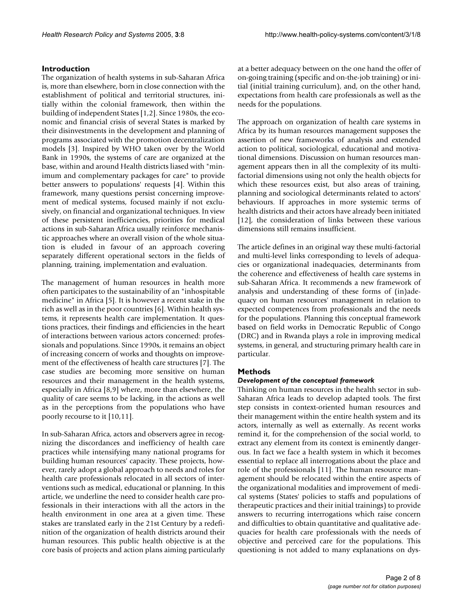# **Introduction**

The organization of health systems in sub-Saharan Africa is, more than elsewhere, born in close connection with the establishment of political and territorial structures, initially within the colonial framework, then within the building of independent States [1,2]. Since 1980s, the economic and financial crisis of several States is marked by their disinvestments in the development and planning of programs associated with the promotion decentralization models [3]. Inspired by WHO taken over by the World Bank in 1990s, the systems of care are organized at the base, within and around Health districts liased with "minimum and complementary packages for care" to provide better answers to populations' requests [4]. Within this framework, many questions persist concerning improvement of medical systems, focused mainly if not exclusively, on financial and organizational techniques. In view of these persistent inefficiencies, priorities for medical actions in sub-Saharan Africa usually reinforce mechanistic approaches where an overall vision of the whole situation is eluded in favour of an approach covering separately different operational sectors in the fields of planning, training, implementation and evaluation.

The management of human resources in health more often participates to the sustainability of an "inhospitable medicine" in Africa [5]. It is however a recent stake in the rich as well as in the poor countries [6]. Within health systems, it represents health care implementation. It questions practices, their findings and efficiencies in the heart of interactions between various actors concerned: professionals and populations. Since 1990s, it remains an object of increasing concern of works and thoughts on improvement of the effectiveness of health care structures [7]. The case studies are becoming more sensitive on human resources and their management in the health systems, especially in Africa [8,9] where, more than elsewhere, the quality of care seems to be lacking, in the actions as well as in the perceptions from the populations who have poorly recourse to it [10,11].

In sub-Saharan Africa, actors and observers agree in recognizing the discordances and inefficiency of health care practices while intensifying many national programs for building human resources' capacity. These projects, however, rarely adopt a global approach to needs and roles for health care professionals relocated in all sectors of interventions such as medical, educational or planning. In this article, we underline the need to consider health care professionals in their interactions with all the actors in the health environment in one area at a given time. These stakes are translated early in the 21st Century by a redefinition of the organization of health districts around their human resources. This public health objective is at the core basis of projects and action plans aiming particularly at a better adequacy between on the one hand the offer of on-going training (specific and on-the-job training) or initial (initial training curriculum), and, on the other hand, expectations from health care professionals as well as the needs for the populations.

The approach on organization of health care systems in Africa by its human resources management supposes the assertion of new frameworks of analysis and extended action to political, sociological, educational and motivational dimensions. Discussion on human resources management appears then in all the complexity of its multifactorial dimensions using not only the health objects for which these resources exist, but also areas of training, planning and sociological determinants related to actors' behaviours. If approaches in more systemic terms of health districts and their actors have already been initiated [12], the consideration of links between these various dimensions still remains insufficient.

The article defines in an original way these multi-factorial and multi-level links corresponding to levels of adequacies or organizational inadequacies, determinants from the coherence and effectiveness of health care systems in sub-Saharan Africa. It recommends a new framework of analysis and understanding of these forms of (in)adequacy on human resources' management in relation to expected competences from professionals and the needs for the populations. Planning this conceptual framework based on field works in Democratic Republic of Congo (DRC) and in Rwanda plays a role in improving medical systems, in general, and structuring primary health care in particular.

# **Methods**

### *Development of the conceptual framework*

Thinking on human resources in the health sector in sub-Saharan Africa leads to develop adapted tools. The first step consists in context-oriented human resources and their management within the entire health system and its actors, internally as well as externally. As recent works remind it, for the comprehension of the social world, to extract any element from its context is eminently dangerous. In fact we face a health system in which it becomes essential to replace all interrogations about the place and role of the professionals [11]. The human resource management should be relocated within the entire aspects of the organizational modalities and improvement of medical systems (States' policies to staffs and populations of therapeutic practices and their initial trainings) to provide answers to recurring interrogations which raise concern and difficulties to obtain quantitative and qualitative adequacies for health care professionals with the needs of objective and perceived care for the populations. This questioning is not added to many explanations on dys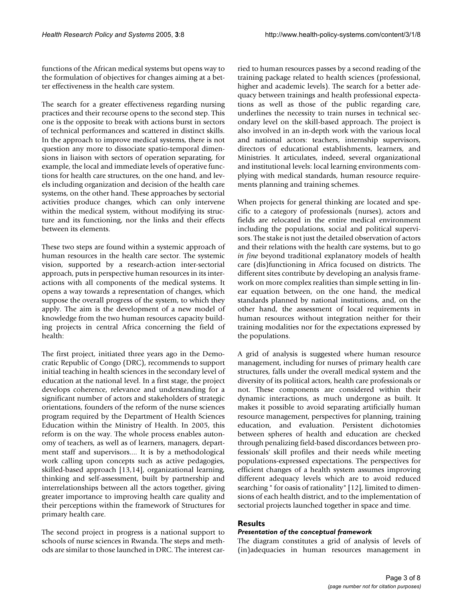functions of the African medical systems but opens way to the formulation of objectives for changes aiming at a better effectiveness in the health care system.

The search for a greater effectiveness regarding nursing practices and their recourse opens to the second step. This one is the opposite to break with actions burst in sectors of technical performances and scattered in distinct skills. In the approach to improve medical systems, there is not question any more to dissociate spatio-temporal dimensions in liaison with sectors of operation separating, for example, the local and immediate levels of operative functions for health care structures, on the one hand, and levels including organization and decision of the health care systems, on the other hand. These approaches by sectorial activities produce changes, which can only intervene within the medical system, without modifying its structure and its functioning, nor the links and their effects between its elements.

These two steps are found within a systemic approach of human resources in the health care sector. The systemic vision, supported by a research-action inter-sectorial approach, puts in perspective human resources in its interactions with all components of the medical systems. It opens a way towards a representation of changes, which suppose the overall progress of the system, to which they apply. The aim is the development of a new model of knowledge from the two human resources capacity building projects in central Africa concerning the field of health:

The first project, initiated three years ago in the Democratic Republic of Congo (DRC), recommends to support initial teaching in health sciences in the secondary level of education at the national level. In a first stage, the project develops coherence, relevance and understanding for a significant number of actors and stakeholders of strategic orientations, founders of the reform of the nurse sciences program required by the Department of Health Sciences Education within the Ministry of Health. In 2005, this reform is on the way. The whole process enables autonomy of teachers, as well as of learners, managers, department staff and supervisors.... It is by a methodological work calling upon concepts such as active pedagogies, skilled-based approach [13,14], organizational learning, thinking and self-assessment, built by partnership and interrelationships between all the actors together, giving greater importance to improving health care quality and their perceptions within the framework of Structures for primary health care.

The second project in progress is a national support to schools of nurse sciences in Rwanda. The steps and methods are similar to those launched in DRC. The interest carried to human resources passes by a second reading of the training package related to health sciences (professional, higher and academic levels). The search for a better adequacy between trainings and health professional expectations as well as those of the public regarding care, underlines the necessity to train nurses in technical secondary level on the skill-based approach. The project is also involved in an in-depth work with the various local and national actors: teachers, internship supervisors, directors of educational establishments, learners, and Ministries. It articulates, indeed, several organizational and institutional levels: local learning environments complying with medical standards, human resource requirements planning and training schemes.

When projects for general thinking are located and specific to a category of professionals (nurses), actors and fields are relocated in the entire medical environment including the populations, social and political supervisors. The stake is not just the detailed observation of actors and their relations with the health care systems, but to go *in fine* beyond traditional explanatory models of health care (dis)functioning in Africa focused on districts. The different sites contribute by developing an analysis framework on more complex realities than simple setting in linear equation between, on the one hand, the medical standards planned by national institutions, and, on the other hand, the assessment of local requirements in human resources without integration neither for their training modalities nor for the expectations expressed by the populations.

A grid of analysis is suggested where human resource management, including for nurses of primary health care structures, falls under the overall medical system and the diversity of its political actors, health care professionals or not. These components are considered within their dynamic interactions, as much undergone as built. It makes it possible to avoid separating artificially human resource management, perspectives for planning, training education, and evaluation. Persistent dichotomies between spheres of health and education are checked through penalizing field-based discordances between professionals' skill profiles and their needs while meeting populations-expressed expectations. The perspectives for efficient changes of a health system assumes improving different adequacy levels which are to avoid reduced searching " for oasis of rationality" [12], limited to dimensions of each health district, and to the implementation of sectorial projects launched together in space and time.

### **Results**

### *Presentation of the conceptual framework*

The diagram constitutes a grid of analysis of levels of (in)adequacies in human resources management in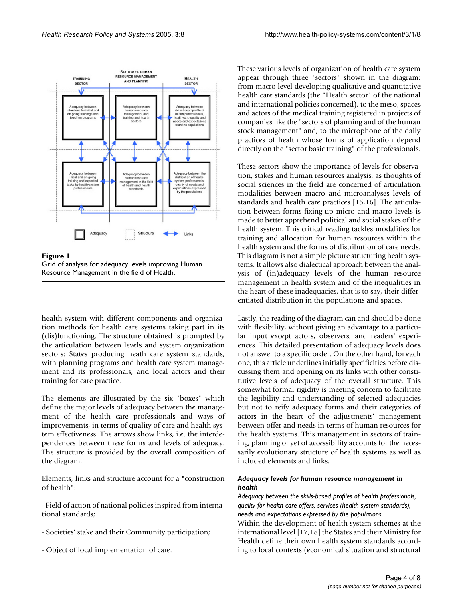

Figure I Grid of analysis for adequacy levels improving Human Resource Management in the field of Health.

health system with different components and organization methods for health care systems taking part in its (dis)functioning. The structure obtained is prompted by the articulation between levels and system organization sectors: States producing heath care system standards, with planning programs and health care system management and its professionals, and local actors and their training for care practice.

The elements are illustrated by the six "boxes" which define the major levels of adequacy between the management of the health care professionals and ways of improvements, in terms of quality of care and health system effectiveness. The arrows show links, i.e. the interdependences between these forms and levels of adequacy. The structure is provided by the overall composition of the diagram.

Elements, links and structure account for a "construction of health":

- Field of action of national policies inspired from international standards;

- Societies' stake and their Community participation;
- Object of local implementation of care.

These various levels of organization of health care system appear through three "sectors" shown in the diagram: from macro level developing qualitative and quantitative health care standards (the "Health sector" of the national and international policies concerned), to the meso, spaces and actors of the medical training registered in projects of companies like the "sectors of planning and of the human stock management" and, to the microphone of the daily practices of health whose forms of application depend directly on the "sector basic training" of the professionals.

These sectors show the importance of levels for observation, stakes and human resources analysis, as thoughts of social sciences in the field are concerned of articulation modalities between macro and microanalyses levels of standards and health care practices [15,16]. The articulation between forms fixing-up micro and macro levels is made to better apprehend political and social stakes of the health system. This critical reading tackles modalities for training and allocation for human resources within the health system and the forms of distribution of care needs. This diagram is not a simple picture structuring health systems. It allows also dialectical approach between the analysis of (in)adequacy levels of the human resource management in health system and of the inequalities in the heart of these inadequacies, that is to say, their differentiated distribution in the populations and spaces.

Lastly, the reading of the diagram can and should be done with flexibility, without giving an advantage to a particular input except actors, observers, and readers' experiences. This detailed presentation of adequacy levels does not answer to a specific order. On the other hand, for each one, this article underlines initially specificities before discussing them and opening on its links with other constitutive levels of adequacy of the overall structure. This somewhat formal rigidity is meeting concern to facilitate the legibility and understanding of selected adequacies but not to reify adequacy forms and their categories of actors in the heart of the adjustments' management between offer and needs in terms of human resources for the health systems. This management in sectors of training, planning or yet of accessibility accounts for the necessarily evolutionary structure of health systems as well as included elements and links.

# *Adequacy levels for human resource management in health*

*Adequacy between the skills-based profiles of health professionals, quality for health care offers, services (health system standards), needs and expectations expressed by the populations* Within the development of health system schemes at the international level [17,18] the States and their Ministry for Health define their own health system standards according to local contexts (economical situation and structural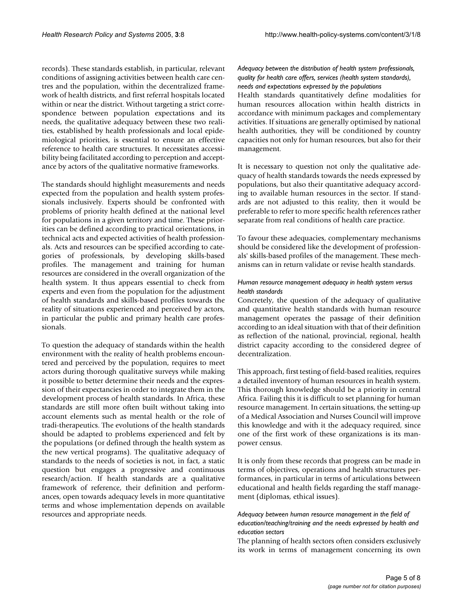records). These standards establish, in particular, relevant conditions of assigning activities between health care centres and the population, within the decentralized framework of health districts, and first referral hospitals located within or near the district. Without targeting a strict correspondence between population expectations and its needs, the qualitative adequacy between these two realities, established by health professionals and local epidemiological priorities, is essential to ensure an effective reference to health care structures. It necessitates accessibility being facilitated according to perception and acceptance by actors of the qualitative normative frameworks.

The standards should highlight measurements and needs expected from the population and health system professionals inclusively. Experts should be confronted with problems of priority health defined at the national level for populations in a given territory and time. These priorities can be defined according to practical orientations, in technical acts and expected activities of health professionals. Acts and resources can be specified according to categories of professionals, by developing skills-based profiles. The management and training for human resources are considered in the overall organization of the health system. It thus appears essential to check from experts and even from the population for the adjustment of health standards and skills-based profiles towards the reality of situations experienced and perceived by actors, in particular the public and primary health care professionals.

To question the adequacy of standards within the health environment with the reality of health problems encountered and perceived by the population, requires to meet actors during thorough qualitative surveys while making it possible to better determine their needs and the expression of their expectancies in order to integrate them in the development process of health standards. In Africa, these standards are still more often built without taking into account elements such as mental health or the role of tradi-therapeutics. The evolutions of the health standards should be adapted to problems experienced and felt by the populations (or defined through the health system as the new vertical programs). The qualitative adequacy of standards to the needs of societies is not, in fact, a static question but engages a progressive and continuous research/action. If health standards are a qualitative framework of reference, their definition and performances, open towards adequacy levels in more quantitative terms and whose implementation depends on available resources and appropriate needs.

#### *Adequacy between the distribution of health system professionals, quality for health care offers, services (health system standards), needs and expectations expressed by the populations*

Health standards quantitatively define modalities for human resources allocation within health districts in accordance with minimum packages and complementary activities. If situations are generally optimised by national health authorities, they will be conditioned by country capacities not only for human resources, but also for their management.

It is necessary to question not only the qualitative adequacy of health standards towards the needs expressed by populations, but also their quantitative adequacy according to available human resources in the sector. If standards are not adjusted to this reality, then it would be preferable to refer to more specific health references rather separate from real conditions of health care practice.

To favour these adequacies, complementary mechanisms should be considered like the development of professionals' skills-based profiles of the management. These mechanisms can in return validate or revise health standards.

#### *Human resource management adequacy in health system versus health standards*

Concretely, the question of the adequacy of qualitative and quantitative health standards with human resource management operates the passage of their definition according to an ideal situation with that of their definition as reflection of the national, provincial, regional, health district capacity according to the considered degree of decentralization.

This approach, first testing of field-based realities, requires a detailed inventory of human resources in health system. This thorough knowledge should be a priority in central Africa. Failing this it is difficult to set planning for human resource management. In certain situations, the setting-up of a Medical Association and Nurses Council will improve this knowledge and with it the adequacy required, since one of the first work of these organizations is its manpower census.

It is only from these records that progress can be made in terms of objectives, operations and health structures performances, in particular in terms of articulations between educational and health fields regarding the staff management (diplomas, ethical issues).

#### *Adequacy between human resource management in the field of education/teaching/training and the needs expressed by health and education sectors*

The planning of health sectors often considers exclusively its work in terms of management concerning its own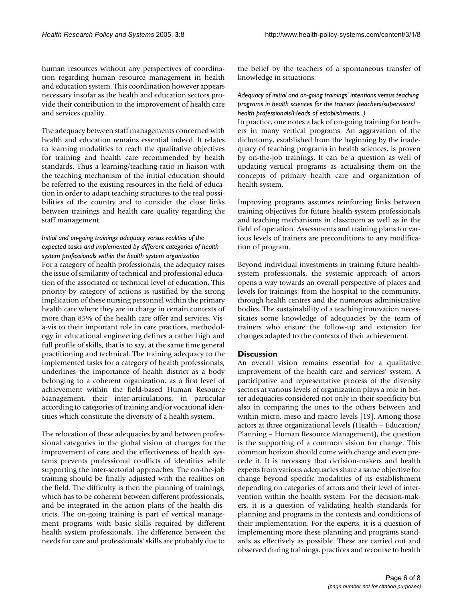human resources without any perspectives of coordination regarding human resource management in health and education system. This coordination however appears necessary insofar as the health and education sectors provide their contribution to the improvement of health care and services quality.

The adequacy between staff managements concerned with health and education remains essential indeed. It relates to learning modalities to reach the qualitative objectives for training and health care recommended by health standards. Thus a learning/teaching ratio in liaison with the teaching mechanism of the initial education should be referred to the existing resources in the field of education in order to adapt teaching structures to the real possibilities of the country and to consider the close links between trainings and health care quality regarding the staff management.

#### *Initial and on-going trainings adequacy versus realities of the expected tasks and implemented by different categories of health system professionals within the health system organization*

For a category of health professionals, the adequacy raises the issue of similarity of technical and professional education of the associated or technical level of education. This priority by category of actions is justified by the strong implication of these nursing personnel within the primary health care where they are in charge in certain contexts of more than 85% of the health care offer and services. Visà-vis to their important role in care practices, methodology in educational engineering defines a rather high and full profile of skills, that is to say, at the same time general practitioning and technical. The training adequacy to the implemented tasks for a category of health professionals, underlines the importance of health district as a body belonging to a coherent organization, as a first level of achievement within the field-based Human Resource Management, their inter-articulations, in particular according to categories of training and/or vocational identities which constitute the diversity of a health system.

The relocation of these adequacies by and between professional categories in the global vision of changes for the improvement of care and the effectiveness of health systems prevents professional conflicts of identities while supporting the inter-sectorial approaches. The on-the-job training should be finally adjusted with the realities on the field. The difficulty is then the planning of trainings, which has to be coherent between different professionals, and be integrated in the action plans of the health districts. The on-going training is part of vertical management programs with basic skills required by different health system professionals. The difference between the needs for care and professionals' skills are probably due to

the belief by the teachers of a spontaneous transfer of knowledge in situations.

#### *Adequacy of initial and on-going trainings' intentions versus teaching programs in health sciences for the trainers (teachers/supervisors/ health professionals/Heads of establishments...)*

In practice, one notes a lack of on-going training for teachers in many vertical programs. An aggravation of the dichotomy, established from the beginning by the inadequacy of teaching programs in health sciences, is proven by on-the-job trainings. It can be a question as well of updating vertical programs as actualising them on the concepts of primary health care and organization of health system.

Improving programs assumes reinforcing links between training objectives for future health-system professionals and teaching mechanisms in classroom as well as in the field of operation. Assessments and training plans for various levels of trainers are preconditions to any modification of program.

Beyond individual investments in training future healthsystem professionals, the systemic approach of actors opens a way towards an overall perspective of places and levels for trainings: from the hospital to the community, through health centres and the numerous administrative bodies. The sustainability of a teaching innovation necessitates some knowledge of adequacies by the team of trainers who ensure the follow-up and extension for changes adapted to the contexts of their achievement.

#### **Discussion**

An overall vision remains essential for a qualitative improvement of the health care and services' system. A participative and representative process of the diversity sectors at various levels of organization plays a role in better adequacies considered not only in their specificity but also in comparing the ones to the others between and within micro, meso and macro levels [19]. Among those actors at three organizational levels (Health – Education/ Planning – Human Resource Management), the question is the supporting of a common vision for change. This common horizon should come with change and even precede it. It is necessary that decision-makers and health experts from various adequacies share a same objective for change beyond specific modalities of its establishment depending on categories of actors and their level of intervention within the health system. For the decision-makers, it is a question of validating health standards for planning and programs in the contexts and conditions of their implementation. For the experts, it is a question of implementing more these planning and programs standards as effectively as possible. These are carried out and observed during trainings, practices and recourse to health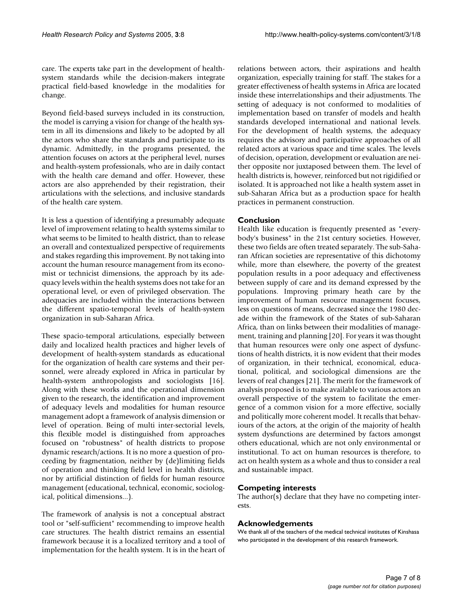care. The experts take part in the development of healthsystem standards while the decision-makers integrate practical field-based knowledge in the modalities for change.

Beyond field-based surveys included in its construction, the model is carrying a vision for change of the health system in all its dimensions and likely to be adopted by all the actors who share the standards and participate to its dynamic. Admittedly, in the programs presented, the attention focuses on actors at the peripheral level, nurses and health-system professionals, who are in daily contact with the health care demand and offer. However, these actors are also apprehended by their registration, their articulations with the selections, and inclusive standards of the health care system.

It is less a question of identifying a presumably adequate level of improvement relating to health systems similar to what seems to be limited to health district, than to release an overall and contextualized perspective of requirements and stakes regarding this improvement. By not taking into account the human resource management from its economist or technicist dimensions, the approach by its adequacy levels within the health systems does not take for an operational level, or even of privileged observation. The adequacies are included within the interactions between the different spatio-temporal levels of health-system organization in sub-Saharan Africa.

These spacio-temporal articulations, especially between daily and localized health practices and higher levels of development of health-system standards as educational for the organization of health care systems and their personnel, were already explored in Africa in particular by health-system anthropologists and sociologists [16]. Along with these works and the operational dimension given to the research, the identification and improvement of adequacy levels and modalities for human resource management adopt a framework of analysis dimension or level of operation. Being of multi inter-sectorial levels, this flexible model is distinguished from approaches focused on "robustness" of health districts to propose dynamic research/actions. It is no more a question of proceeding by fragmentation, neither by (de)limiting fields of operation and thinking field level in health districts, nor by artificial distinction of fields for human resource management (educational, technical, economic, sociological, political dimensions...).

The framework of analysis is not a conceptual abstract tool or "self-sufficient" recommending to improve health care structures. The health district remains an essential framework because it is a localized territory and a tool of implementation for the health system. It is in the heart of relations between actors, their aspirations and health organization, especially training for staff. The stakes for a greater effectiveness of health systems in Africa are located inside these interrelationships and their adjustments. The setting of adequacy is not conformed to modalities of implementation based on transfer of models and health standards developed international and national levels. For the development of health systems, the adequacy requires the advisory and participative approaches of all related actors at various space and time scales. The levels of decision, operation, development or evaluation are neither opposite nor juxtaposed between them. The level of health districts is, however, reinforced but not rigidified or isolated. It is approached not like a health system asset in sub-Saharan Africa but as a production space for health practices in permanent construction.

## **Conclusion**

Health like education is frequently presented as "everybody's business" in the 21st century societies. However, these two fields are often treated separately. The sub-Saharan African societies are representative of this dichotomy while, more than elsewhere, the poverty of the greatest population results in a poor adequacy and effectiveness between supply of care and its demand expressed by the populations. Improving primary heath care by the improvement of human resource management focuses, less on questions of means, decreased since the 1980 decade within the framework of the States of sub-Saharan Africa, than on links between their modalities of management, training and planning [20]. For years it was thought that human resources were only one aspect of dysfunctions of health districts, it is now evident that their modes of organization, in their technical, economical, educational, political, and sociological dimensions are the levers of real changes [21]. The merit for the framework of analysis proposed is to make available to various actors an overall perspective of the system to facilitate the emergence of a common vision for a more effective, socially and politically more coherent model. It recalls that behaviours of the actors, at the origin of the majority of health system dysfunctions are determined by factors amongst others educational, which are not only environmental or institutional. To act on human resources is therefore, to act on health system as a whole and thus to consider a real and sustainable impact.

# **Competing interests**

The author(s) declare that they have no competing interests.

### **Acknowledgements**

We thank all of the teachers of the medical technical institutes of Kinshasa who participated in the development of this research framework.